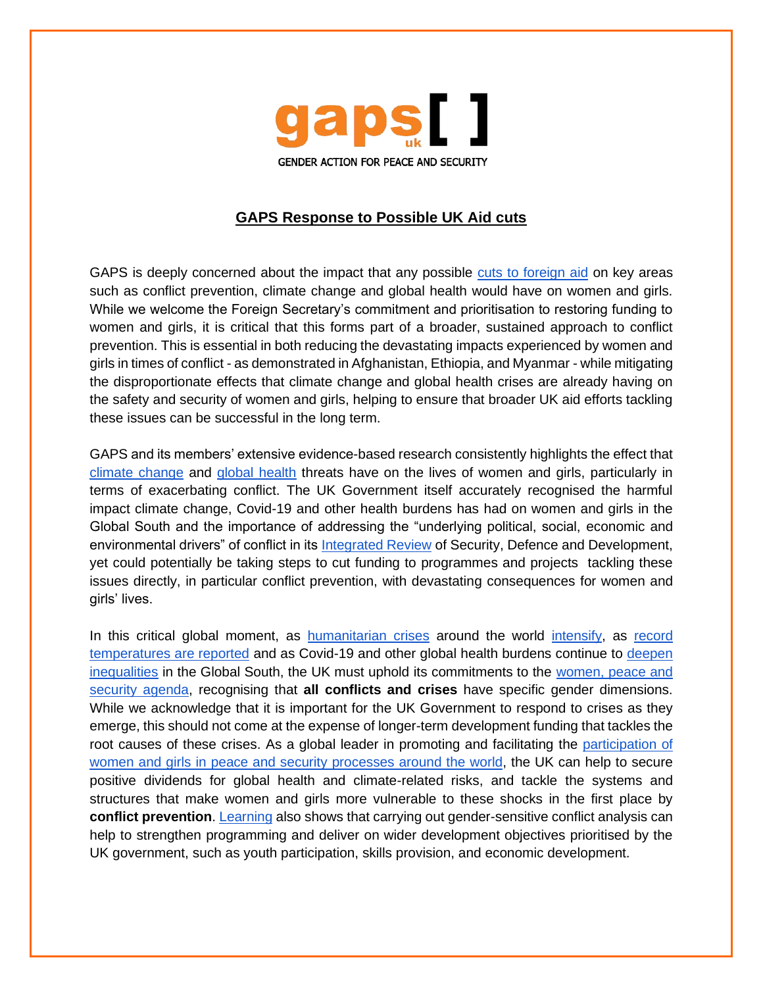

## **GAPS Response to Possible UK Aid cuts**

GAPS is deeply concerned about the impact that any possible [cuts to foreign aid](https://www.telegraph.co.uk/news/2022/03/22/climate-change-back-burner-liz-truss-wants-aid-spent-women-girls/) on key areas such as conflict prevention, climate change and global health would have on women and girls. While we welcome the Foreign Secretary's commitment and prioritisation to restoring funding to women and girls, it is critical that this forms part of a broader, sustained approach to conflict prevention. This is essential in both reducing the devastating impacts experienced by women and girls in times of conflict - as demonstrated in Afghanistan, Ethiopia, and Myanmar - while mitigating the disproportionate effects that climate change and global health crises are already having on the safety and security of women and girls, helping to ensure that broader UK aid efforts tackling these issues can be successful in the long term.

GAPS and its members' extensive evidence-based research consistently highlights the effect that [climate change](https://gaps-uk.org/wp-content/uploads/2021/02/Defending-the-Future.pdf) [and](https://gaps-uk.org/wp-content/uploads/2021/02/Defending-the-Future.pdf) [global health](https://gaps-uk.org/wp-content/uploads/2021/01/Gender-Equality-Peace-and-Security-in-a-COVID-19-World-and-Beyond.pdf) threats have on the lives of women and girls, particularly in terms of exacerbating conflict. The UK Government itself accurately recognised the harmful impact climate change, Covid-19 and other health burdens has had on women and girls in the Global South and the importance of addressing the "underlying political, social, economic and environmental drivers" of conflict in its [Integrated Review](https://assets.publishing.service.gov.uk/government/uploads/system/uploads/attachment_data/file/975077/Global_Britain_in_a_Competitive_Age-_the_Integrated_Review_of_Security__Defence__Development_and_Foreign_Policy.pdf) of Security, Defence and Development, yet could potentially be taking steps to cut funding to programmes and projects tackling these issues directly, in particular conflict prevention, with devastating consequences for women and girls' lives.

In this critical global moment, as [humanitarian crises](https://www.rescue-uk.org/article/crisis-afghanistan-unprecedented-hunger-after-conflict) around the world [intensify,](https://www.bbc.co.uk/news/live/world-europe-60856533) as [record](https://www.theguardian.com/environment/2022/mar/21/extremes-of-40c-above-normal-whats-causing-extraordinary-heating-in-polar-regions)  [temperatures are reported](https://www.theguardian.com/environment/2022/mar/21/extremes-of-40c-above-normal-whats-causing-extraordinary-heating-in-polar-regions) and as Covid-19 and other global health burdens continue to [deepen](https://www.theguardian.com/world/2022/mar/02/covid-intensified-existing-gender-inequalities-global-study-finds)  [inequalities](https://www.theguardian.com/world/2022/mar/02/covid-intensified-existing-gender-inequalities-global-study-finds) in the Global South, the UK must uphold its commitments to the [women, peace and](https://assets.publishing.service.gov.uk/government/uploads/system/uploads/attachment_data/file/1022064/FCO1215-NAP-Women-Peace-Security-ONLINE_V2.pdf)  [security agenda, r](https://assets.publishing.service.gov.uk/government/uploads/system/uploads/attachment_data/file/1022064/FCO1215-NAP-Women-Peace-Security-ONLINE_V2.pdf)ecognising that **all conflicts and crises** have specific gender dimensions. While we acknowledge that it is important for the UK Government to respond to crises as they emerge, this should not come at the expense of longer-term development funding that tackles the root causes of these crises. As a global leader in promoting and facilitating the [participation of](https://www.womenmediators.org/about-the-network/)  [women and girls in peace and security processes around the world,](https://www.womenmediators.org/about-the-network/) the UK can help to secure positive dividends for global health and climate-related risks, and tackle the systems and structures that make women and girls more vulnerable to these shocks in the first place by **conflict prevention**. [Learning](https://rc-services-assets.s3.eu-west-1.amazonaws.com/s3fs-public/CONCILIATION-FINAL-WEB%20%281%29%20%281%29.pdf) also shows that carrying out gender-sensitive conflict analysis can help to strengthen programming and deliver on wider development objectives prioritised by the UK government, such as youth participation, skills provision, and economic development.